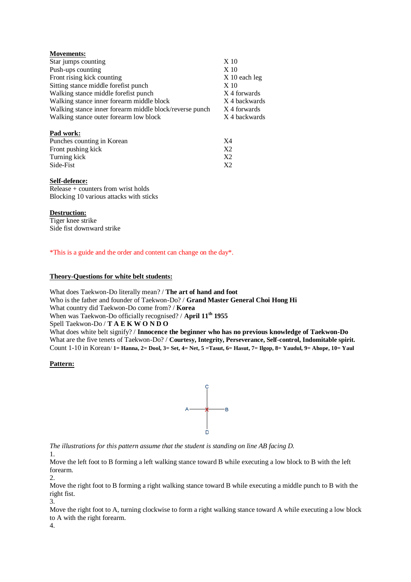| <b>Movements:</b>                                       |                 |
|---------------------------------------------------------|-----------------|
| Star jumps counting                                     | X 10            |
| Push-ups counting                                       | X <sub>10</sub> |
| Front rising kick counting                              | $X$ 10 each leg |
| Sitting stance middle forefist punch                    | $X_1$ 10        |
| Walking stance middle forefist punch                    | X 4 forwards    |
| Walking stance inner forearm middle block               | X 4 backwards   |
| Walking stance inner forearm middle block/reverse punch | X 4 forwards    |
| Walking stance outer forearm low block                  | X 4 backwards   |
| Pad work:                                               |                 |
| Punches counting in Korean                              | X4              |
| Front pushing kick                                      | X2              |
| Turning kick                                            | X <sub>2</sub>  |
| Side-Fist                                               | X2              |

## **Self-defence:**

 $Release + counters from wrist holds$ Blocking 10 various attacks with sticks

## **Destruction:**

Tiger knee strike Side fist downward strike

\*This is a guide and the order and content can change on the day\*.

## **Theory-Questions for white belt students:**

What does Taekwon-Do literally mean? / **The art of hand and foot** Who is the father and founder of Taekwon-Do? / **Grand Master General Choi Hong Hi** What country did Taekwon-Do come from? / **Korea** When was Taekwon-Do officially recognised? / **April 11th 1955** Spell Taekwon-Do / **T A E K W O N D O** What does white belt signify? / **Innocence the beginner who has no previous knowledge of Taekwon-Do** What are the five tenets of Taekwon-Do? / **Courtesy, Integrity, Perseverance, Self-control, Indomitable spirit.** Count 1-10 in Korean/ **1= Hanna, 2= Dool, 3= Set, 4= Net, 5 =Tasut, 6= Hasut, 7= Ilgop, 8= Yaudul, 9= Ahope, 10= Yaul**

## **Pattern:**



*The illustrations for this pattern assume that the student is standing on line AB facing D.*

1.

Move the left foot to B forming a left walking stance toward B while executing a low block to B with the left forearm. 2.

Move the right foot to B forming a right walking stance toward B while executing a middle punch to B with the right fist. 3.

Move the right foot to A, turning clockwise to form a right walking stance toward A while executing a low block to A with the right forearm.

4.